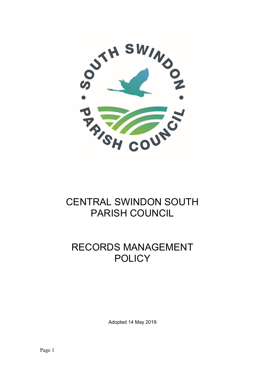

# CENTRAL SWINDON SOUTH PARISH COUNCIL

# RECORDS MANAGEMENT **POLICY**

Adopted 14 May 2019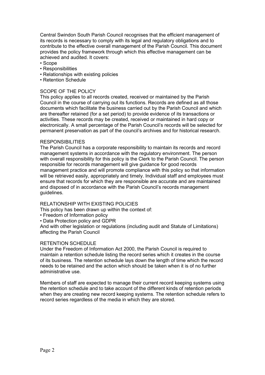Central Swindon South Parish Council recognises that the efficient management of its records is necessary to comply with its legal and regulatory obligations and to contribute to the effective overall management of the Parish Council. This document provides the policy framework through which this effective management can be achieved and audited. It covers:

- Scope
- Responsibilities
- Relationships with existing policies
- Retention Schedule

### SCOPE OF THE POLICY

This policy applies to all records created, received or maintained by the Parish Council in the course of carrying out its functions. Records are defined as all those documents which facilitate the business carried out by the Parish Council and which are thereafter retained (for a set period) to provide evidence of its transactions or activities. These records may be created, received or maintained in hard copy or electronically. A small percentage of the Parish Council's records will be selected for permanent preservation as part of the council's archives and for historical research.

#### RESPONSIBILITIES

The Parish Council has a corporate responsibility to maintain its records and record management systems in accordance with the regulatory environment. The person with overall responsibility for this policy is the Clerk to the Parish Council. The person responsible for records management will give guidance for good records management practice and will promote compliance with this policy so that information will be retrieved easily, appropriately and timely. Individual staff and employees must ensure that records for which they are responsible are accurate and are maintained and disposed of in accordance with the Parish Council's records management guidelines.

#### RELATIONSHIP WITH EXISTING POLICIES

This policy has been drawn up within the context of:

- Freedom of Information policy
- Data Protection policy and GDPR

And with other legislation or regulations (including audit and Statute of Limitations) affecting the Parish Council

#### RETENTION SCHEDULE

Under the Freedom of Information Act 2000, the Parish Council is required to maintain a retention schedule listing the record series which it creates in the course of its business. The retention schedule lays down the length of time which the record needs to be retained and the action which should be taken when it is of no further administrative use.

Members of staff are expected to manage their current record keeping systems using the retention schedule and to take account of the different kinds of retention periods when they are creating new record keeping systems. The retention schedule refers to record series regardless of the media in which they are stored.